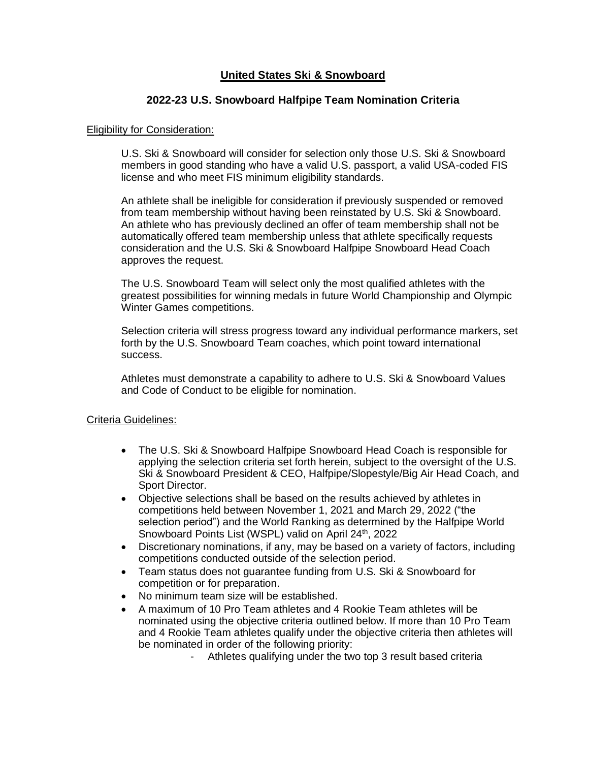## **United States Ski & Snowboard**

## **2022-23 U.S. Snowboard Halfpipe Team Nomination Criteria**

#### Eligibility for Consideration:

U.S. Ski & Snowboard will consider for selection only those U.S. Ski & Snowboard members in good standing who have a valid U.S. passport, a valid USA-coded FIS license and who meet FIS minimum eligibility standards.

An athlete shall be ineligible for consideration if previously suspended or removed from team membership without having been reinstated by U.S. Ski & Snowboard. An athlete who has previously declined an offer of team membership shall not be automatically offered team membership unless that athlete specifically requests consideration and the U.S. Ski & Snowboard Halfpipe Snowboard Head Coach approves the request.

The U.S. Snowboard Team will select only the most qualified athletes with the greatest possibilities for winning medals in future World Championship and Olympic Winter Games competitions.

Selection criteria will stress progress toward any individual performance markers, set forth by the U.S. Snowboard Team coaches, which point toward international success.

Athletes must demonstrate a capability to adhere to U.S. Ski & Snowboard Values and Code of Conduct to be eligible for nomination.

### Criteria Guidelines:

- The U.S. Ski & Snowboard Halfpipe Snowboard Head Coach is responsible for applying the selection criteria set forth herein, subject to the oversight of the U.S. Ski & Snowboard President & CEO, Halfpipe/Slopestyle/Big Air Head Coach, and Sport Director.
- Objective selections shall be based on the results achieved by athletes in competitions held between November 1, 2021 and March 29, 2022 ("the selection period") and the World Ranking as determined by the Halfpipe World Snowboard Points List (WSPL) valid on April 24<sup>th</sup>, 2022
- Discretionary nominations, if any, may be based on a variety of factors, including competitions conducted outside of the selection period.
- Team status does not guarantee funding from U.S. Ski & Snowboard for competition or for preparation.
- No minimum team size will be established.
- A maximum of 10 Pro Team athletes and 4 Rookie Team athletes will be nominated using the objective criteria outlined below. If more than 10 Pro Team and 4 Rookie Team athletes qualify under the objective criteria then athletes will be nominated in order of the following priority:
	- Athletes qualifying under the two top 3 result based criteria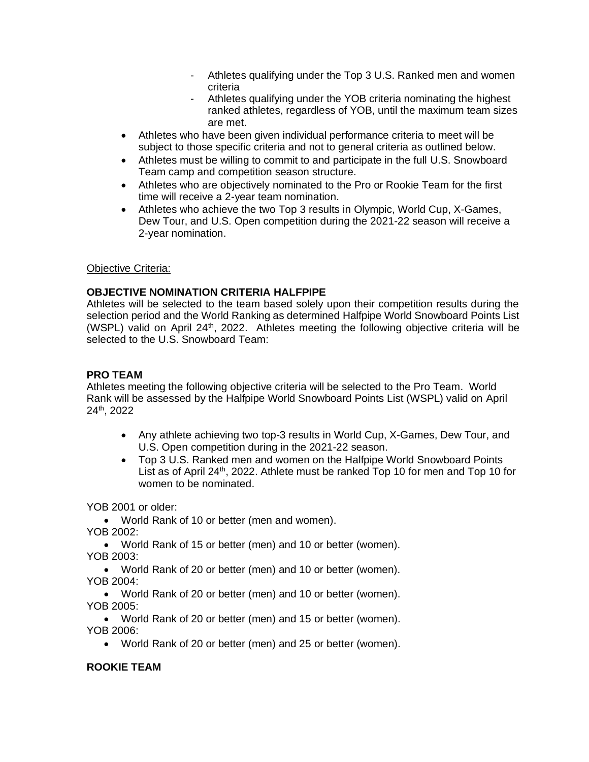- Athletes qualifying under the Top 3 U.S. Ranked men and women criteria
- Athletes qualifying under the YOB criteria nominating the highest ranked athletes, regardless of YOB, until the maximum team sizes are met.
- Athletes who have been given individual performance criteria to meet will be subject to those specific criteria and not to general criteria as outlined below.
- Athletes must be willing to commit to and participate in the full U.S. Snowboard Team camp and competition season structure.
- Athletes who are objectively nominated to the Pro or Rookie Team for the first time will receive a 2-year team nomination.
- Athletes who achieve the two Top 3 results in Olympic, World Cup, X-Games, Dew Tour, and U.S. Open competition during the 2021-22 season will receive a 2-year nomination.

### Objective Criteria:

# **OBJECTIVE NOMINATION CRITERIA HALFPIPE**

Athletes will be selected to the team based solely upon their competition results during the selection period and the World Ranking as determined Halfpipe World Snowboard Points List (WSPL) valid on April  $24<sup>th</sup>$ , 2022. Athletes meeting the following objective criteria will be selected to the U.S. Snowboard Team:

# **PRO TEAM**

Athletes meeting the following objective criteria will be selected to the Pro Team. World Rank will be assessed by the Halfpipe World Snowboard Points List (WSPL) valid on April 24th, 2022

- Any athlete achieving two top-3 results in World Cup, X-Games, Dew Tour, and U.S. Open competition during in the 2021-22 season.
- Top 3 U.S. Ranked men and women on the Halfpipe World Snowboard Points List as of April 24<sup>th</sup>, 2022. Athlete must be ranked Top 10 for men and Top 10 for women to be nominated.

YOB 2001 or older:

• World Rank of 10 or better (men and women). YOB 2002:

• World Rank of 15 or better (men) and 10 or better (women). YOB 2003:

• World Rank of 20 or better (men) and 10 or better (women). YOB 2004:

• World Rank of 20 or better (men) and 10 or better (women). YOB 2005:

• World Rank of 20 or better (men) and 15 or better (women). YOB 2006:

• World Rank of 20 or better (men) and 25 or better (women).

# **ROOKIE TEAM**